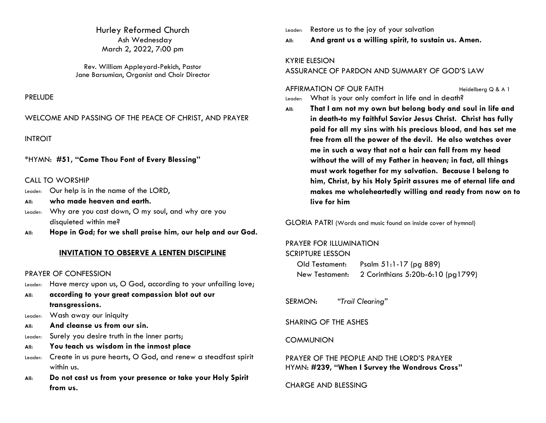Hurley Reformed Church Ash Wednesday March 2, 2022, 7:00 pm

Rev. William Appleyard-Pekich, Pastor Jane Barsumian, Organist and Choir Director

#### PRELUDE

WELCOME AND PASSING OF THE PEACE OF CHRIST, AND PRAYER

INTROIT

\*HYMN: **#51, "Come Thou Font of Every Blessing"**

## CALL TO WORSHIP

- Leader: Our help is in the name of the LORD,
- **All: who made heaven and earth.**
- Leader: Why are you cast down, O my soul, and why are you disquieted within me?
- **All: Hope in God; for we shall praise him, our help and our God.**

## **INVITATION TO OBSERVE A LENTEN DISCIPLINE**

#### PRAYER OF CONFESSION

- Leader: Have mercy upon us, O God, according to your unfailing love;
- **All: according to your great compassion blot out our transgressions.**
- Leader: Wash away our iniquity
- **All: And cleanse us from our sin.**
- Leader: Surely you desire truth in the inner parts;
- **All: You teach us wisdom in the inmost place**
- Leader: Create in us pure hearts, O God, and renew a steadfast spirit within us.
- **All: Do not cast us from your presence or take your Holy Spirit from us.**

Leader: Restore us to the joy of your salvation

**All: And grant us a willing spirit, to sustain us. Amen.**

### KYRIE ELESION

ASSURANCE OF PARDON AND SUMMARY OF GOD'S LAW

AFFIRMATION OF OUR FAITH Heidelberg Q & A 1

Leader: What is your only comfort in life and in death?

**All: That I am not my own but belong body and soul in life and in death-to my faithful Savior Jesus Christ. Christ has fully paid for all my sins with his precious blood, and has set me free from all the power of the devil. He also watches over me in such a way that not a hair can fall from my head without the will of my Father in heaven; in fact, all things must work together for my salvation. Because I belong to him, Christ, by his Holy Spirit assures me of eternal life and makes me wholeheartedly willing and ready from now on to live for him**

GLORIA PATRI (Words and music found on inside cover of hymnal)

#### PRAYER FOR ILLUMINATION

SCRIPTURE LESSON

| Old Testament: | Psalm 51:1-17 (pg 889)            |
|----------------|-----------------------------------|
| New Testament: | 2 Corinthians 5:20b-6:10 (pg1799) |

SERMON: *"Trail Clearing"*

SHARING OF THE ASHES

#### **COMMUNION**

PRAYER OF THE PEOPLE AND THE LORD'S PRAYER HYMN: **#239, "When I Survey the Wondrous Cross"**

CHARGE AND BLESSING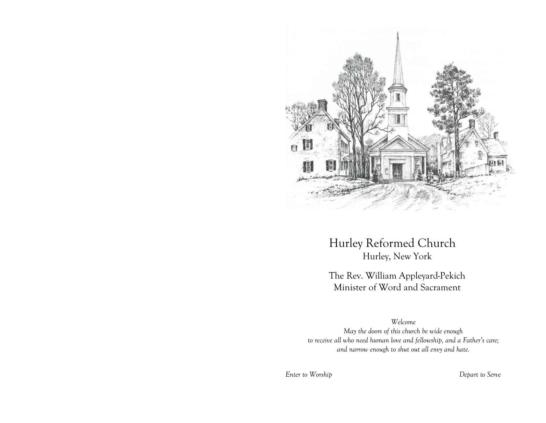

Hurley Reformed Church Hurley, New York

The Rev. William Appleyard-Pekich Minister of Word and Sacrament

*Welcome May the doors of this church be wide enough to receive all who need human love and fellowship, and a Father's care; and narrow enough to shut out all envy and hate.*

*Enter to Worship Depart to Serve*